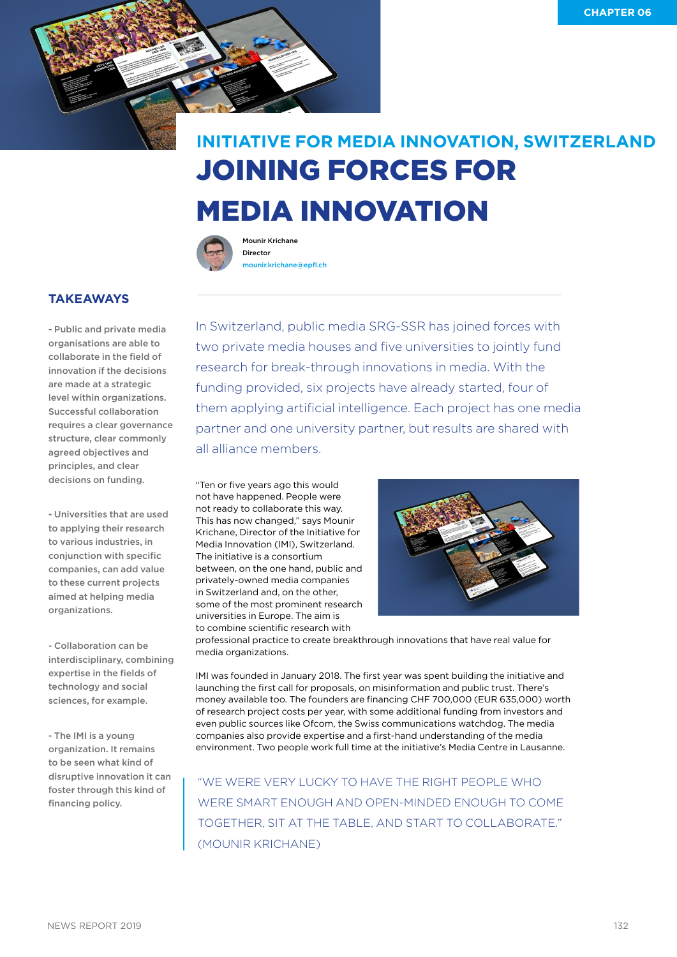

## JOINING FORCES FOR MEDIA INNOVATION **INITIATIVE FOR MEDIA INNOVATION, SWITZERLAND**



Mounir Krichane Director [mounir.krichane@epfl.ch](mailto:mounir.krichane@epfl.ch)

## **TAKEAWAYS**

- Public and private media organisations are able to collaborate in the field of innovation if the decisions are made at a strategic level within organizations. Successful collaboration requires a clear governance structure, clear commonly agreed objectives and principles, and clear decisions on funding.

- Universities that are used to applying their research to various industries, in conjunction with specific companies, can add value to these current projects aimed at helping media organizations.

- Collaboration can be interdisciplinary, combining expertise in the fields of technology and social sciences, for example.

- The IMI is a young organization. It remains to be seen what kind of disruptive innovation it can foster through this kind of financing policy.

In Switzerland, public media SRG-SSR has joined forces with two private media houses and five universities to jointly fund research for break-through innovations in media. With the funding provided, six projects have already started, four of them applying artificial intelligence. Each project has one media partner and one university partner, but results are shared with all alliance members.

"Ten or five years ago this would not have happened. People were not ready to collaborate this way. This has now changed," says Mounir Krichane, Director of the Initiative for Media Innovation (IMI), Switzerland. The initiative is a consortium between, on the one hand, public and privately-owned media companies in Switzerland and, on the other, some of the most prominent research universities in Europe. The aim is to combine scientific research with



professional practice to create breakthrough innovations that have real value for media organizations.

IMI was founded in January 2018. The first year was spent building the initiative and launching the first call for proposals, on misinformation and public trust. There's money available too. The founders are financing CHF 700,000 (EUR 635,000) worth of research project costs per year, with some additional funding from investors and even public sources like Ofcom, the Swiss communications watchdog. The media companies also provide expertise and a first-hand understanding of the media environment. Two people work full time at the initiative's Media Centre in Lausanne.

"WE WERE VERY LUCKY TO HAVE THE RIGHT PEOPLE WHO WERE SMART ENOUGH AND OPEN-MINDED ENOUGH TO COME TOGETHER, SIT AT THE TABLE, AND START TO COLLABORATE." (MOUNIR KRICHANE)